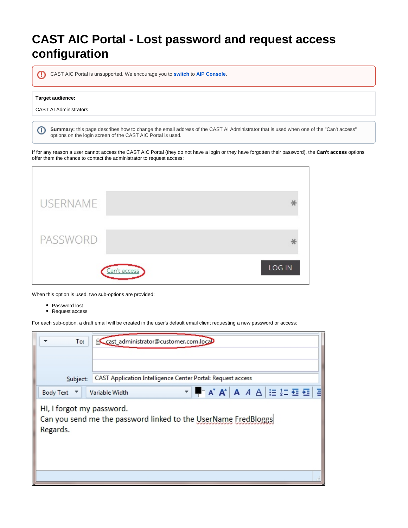## **CAST AIC Portal - Lost password and request access configuration**

⋒ CAST AIC Portal is unsupported. We encourage you to **switch** to **[AIP Console.](https://doc.castsoftware.com/display/AIPCONSOLE/CAST+AIP+Console)**

## **Target audience:**

⊙

CAST AI Administrators

**Summary:** this page describes how to change the email address of the CAST AI Administrator that is used when one of the "Can't access" options on the login screen of the CAST AIC Portal is used.

If for any reason a user cannot access the CAST AIC Portal (they do not have a login or they have forgotten their password), the **Can't access** options offer them the chance to contact the administrator to request access:

| <b>USERNAME</b> |  |        |
|-----------------|--|--------|
|                 |  |        |
| PASSWORD        |  |        |
| Can't access    |  | LOG IN |

When this option is used, two sub-options are provided:

- Password lost
- Request access

For each sub-option, a draft email will be created in the user's default email client requesting a new password or access:

| To:                                                                                                     | cast_administrator@customer.com.locaD                         |  |
|---------------------------------------------------------------------------------------------------------|---------------------------------------------------------------|--|
| Subject:                                                                                                | CAST Application Intelligence Center Portal: Request access   |  |
| Body Text ▼                                                                                             | ▾ ▀▔ <b>A゙A゙</b> A <i>A</i> A │ :≡ }ニ 图 图 目<br>Variable Width |  |
| Hi, I forgot my password.<br>Can you send me the password linked to the UserName FredBloggs<br>Regards. |                                                               |  |
|                                                                                                         |                                                               |  |